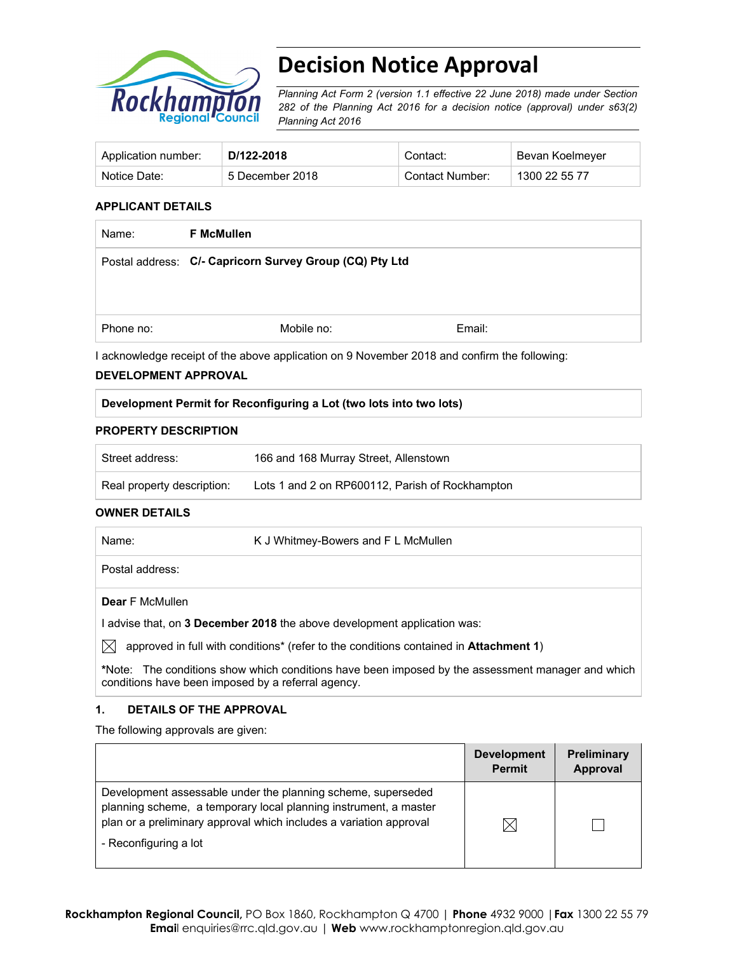

# **Decision Notice Approval**

*Planning Act Form 2 (version 1.1 effective 22 June 2018) made under Section 282 of the Planning Act 2016 for a decision notice (approval) under s63(2) Planning Act 2016*

| Application number: | D/122-2018      | Contact:        | Bevan Koelmeyer |
|---------------------|-----------------|-----------------|-----------------|
| Notice Date:        | 5 December 2018 | Contact Number: | 1300 22 55 77   |

# **APPLICANT DETAILS**

| <b>F McMullen</b>                                       |        |  |
|---------------------------------------------------------|--------|--|
| Postal address: C/- Capricorn Survey Group (CQ) Pty Ltd |        |  |
|                                                         |        |  |
|                                                         |        |  |
| Mobile no:                                              | Email: |  |
|                                                         |        |  |

I acknowledge receipt of the above application on 9 November 2018 and confirm the following:

# **DEVELOPMENT APPROVAL**

# **Development Permit for Reconfiguring a Lot (two lots into two lots)**

#### **PROPERTY DESCRIPTION**

| Street address:            | 166 and 168 Murray Street, Allenstown           |
|----------------------------|-------------------------------------------------|
| Real property description: | Lots 1 and 2 on RP600112, Parish of Rockhampton |

# **OWNER DETAILS**

| Name:                  | K J Whitmey-Bowers and F L McMullen |  |  |
|------------------------|-------------------------------------|--|--|
| Postal address:        |                                     |  |  |
| <b>Dear</b> F McMullen |                                     |  |  |

I advise that, on **3 December 2018** the above development application was:

 $\boxtimes$  approved in full with conditions<sup>\*</sup> (refer to the conditions contained in **Attachment 1**)

**\***Note:The conditions show which conditions have been imposed by the assessment manager and which conditions have been imposed by a referral agency.

# **1. DETAILS OF THE APPROVAL**

The following approvals are given:

|                                                                                                                                                                                                                                 | <b>Development</b><br><b>Permit</b> | <b>Preliminary</b><br>Approval |
|---------------------------------------------------------------------------------------------------------------------------------------------------------------------------------------------------------------------------------|-------------------------------------|--------------------------------|
| Development assessable under the planning scheme, superseded<br>planning scheme, a temporary local planning instrument, a master<br>plan or a preliminary approval which includes a variation approval<br>- Reconfiguring a lot | IX                                  |                                |
|                                                                                                                                                                                                                                 |                                     |                                |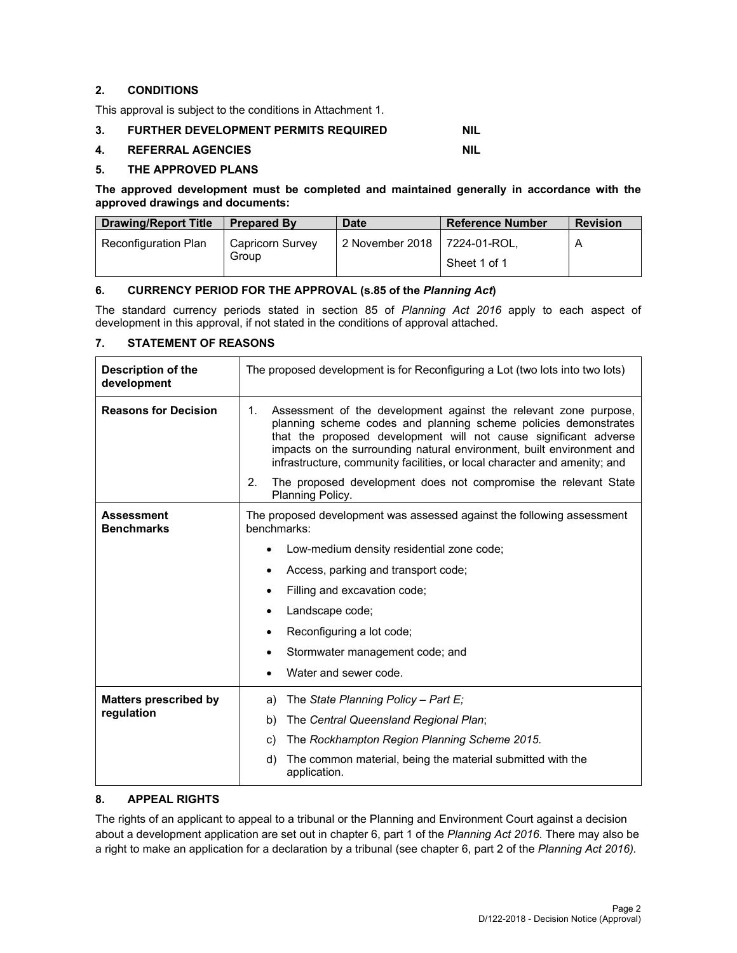# **2. CONDITIONS**

This approval is subject to the conditions in Attachment 1.

**3. FURTHER DEVELOPMENT PERMITS REQUIRED NIL** 

# **4. REFERRAL AGENCIES NIL**

# **5. THE APPROVED PLANS**

**The approved development must be completed and maintained generally in accordance with the approved drawings and documents:** 

| <b>Drawing/Report Title</b> | <b>Prepared By</b>        | <b>Date</b>     | <b>Reference Number</b>      | <b>Revision</b> |
|-----------------------------|---------------------------|-----------------|------------------------------|-----------------|
| Reconfiguration Plan        | Capricorn Survey<br>Group | 2 November 2018 | 7224-01-ROL.<br>Sheet 1 of 1 | A               |

# **6. CURRENCY PERIOD FOR THE APPROVAL (s.85 of the** *Planning Act***)**

The standard currency periods stated in section 85 of *Planning Act 2016* apply to each aspect of development in this approval, if not stated in the conditions of approval attached.

# **7. STATEMENT OF REASONS**

| <b>Description of the</b><br>development | The proposed development is for Reconfiguring a Lot (two lots into two lots)                                                                                                                                                                                                                                                                                        |  |  |  |
|------------------------------------------|---------------------------------------------------------------------------------------------------------------------------------------------------------------------------------------------------------------------------------------------------------------------------------------------------------------------------------------------------------------------|--|--|--|
| <b>Reasons for Decision</b>              | Assessment of the development against the relevant zone purpose,<br>1.<br>planning scheme codes and planning scheme policies demonstrates<br>that the proposed development will not cause significant adverse<br>impacts on the surrounding natural environment, built environment and<br>infrastructure, community facilities, or local character and amenity; and |  |  |  |
|                                          | 2.<br>The proposed development does not compromise the relevant State<br>Planning Policy.                                                                                                                                                                                                                                                                           |  |  |  |
| <b>Assessment</b><br><b>Benchmarks</b>   | The proposed development was assessed against the following assessment<br>benchmarks:                                                                                                                                                                                                                                                                               |  |  |  |
|                                          | Low-medium density residential zone code;                                                                                                                                                                                                                                                                                                                           |  |  |  |
|                                          | Access, parking and transport code;                                                                                                                                                                                                                                                                                                                                 |  |  |  |
|                                          | Filling and excavation code;                                                                                                                                                                                                                                                                                                                                        |  |  |  |
|                                          | Landscape code;                                                                                                                                                                                                                                                                                                                                                     |  |  |  |
|                                          | Reconfiguring a lot code;                                                                                                                                                                                                                                                                                                                                           |  |  |  |
|                                          | Stormwater management code; and                                                                                                                                                                                                                                                                                                                                     |  |  |  |
|                                          | Water and sewer code.                                                                                                                                                                                                                                                                                                                                               |  |  |  |
| <b>Matters prescribed by</b>             | The State Planning Policy - Part E;<br>a)                                                                                                                                                                                                                                                                                                                           |  |  |  |
| regulation                               | The Central Queensland Regional Plan;<br>b)                                                                                                                                                                                                                                                                                                                         |  |  |  |
|                                          | The Rockhampton Region Planning Scheme 2015.<br>C)                                                                                                                                                                                                                                                                                                                  |  |  |  |
|                                          | d)<br>The common material, being the material submitted with the<br>application.                                                                                                                                                                                                                                                                                    |  |  |  |

# **8. APPEAL RIGHTS**

The rights of an applicant to appeal to a tribunal or the Planning and Environment Court against a decision about a development application are set out in chapter 6, part 1 of the *Planning Act 2016*. There may also be a right to make an application for a declaration by a tribunal (see chapter 6, part 2 of the *Planning Act 2016).*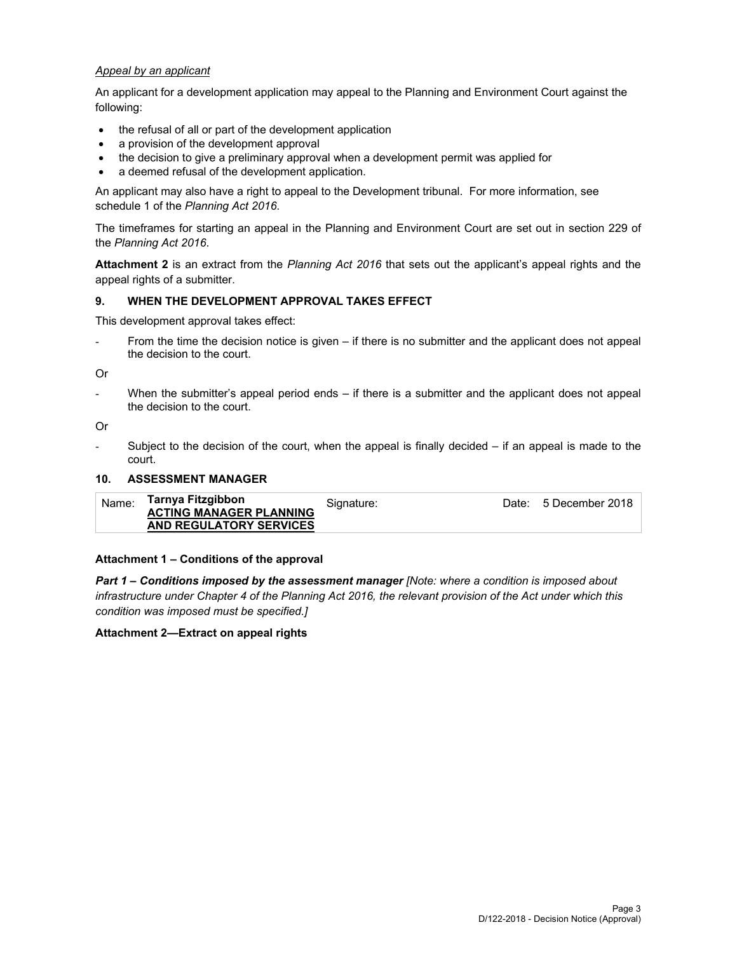# *Appeal by an applicant*

An applicant for a development application may appeal to the Planning and Environment Court against the following:

- the refusal of all or part of the development application
- a provision of the development approval
- the decision to give a preliminary approval when a development permit was applied for
- a deemed refusal of the development application.

An applicant may also have a right to appeal to the Development tribunal. For more information, see schedule 1 of the *Planning Act 2016*.

The timeframes for starting an appeal in the Planning and Environment Court are set out in section 229 of the *Planning Act 2016*.

**Attachment 2** is an extract from the *Planning Act 2016* that sets out the applicant's appeal rights and the appeal rights of a submitter.

# **9. WHEN THE DEVELOPMENT APPROVAL TAKES EFFECT**

This development approval takes effect:

From the time the decision notice is given – if there is no submitter and the applicant does not appeal the decision to the court.

Or

When the submitter's appeal period ends  $-$  if there is a submitter and the applicant does not appeal the decision to the court.

Or

Subject to the decision of the court, when the appeal is finally decided  $-$  if an appeal is made to the court.

### **10. ASSESSMENT MANAGER**

| Name: | Tarnya Fitzgibbon<br><b>ACTING MANAGER PLANNING</b> | Signature: | Date: 5 December 2018 |
|-------|-----------------------------------------------------|------------|-----------------------|
|       | AND REGULATORY SERVICES                             |            |                       |

#### **Attachment 1 – Conditions of the approval**

*Part 1* **–** *Conditions imposed by the assessment manager [Note: where a condition is imposed about infrastructure under Chapter 4 of the Planning Act 2016, the relevant provision of the Act under which this condition was imposed must be specified.]*

#### **Attachment 2—Extract on appeal rights**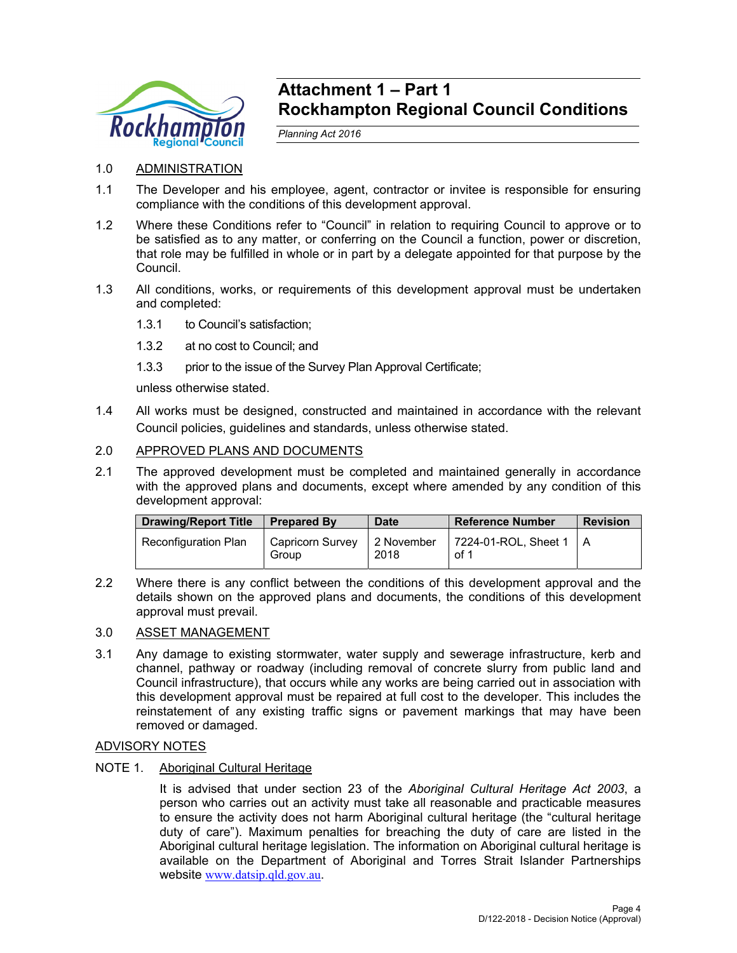

# **Attachment 1 – Part 1 Rockhampton Regional Council Conditions**

*Planning Act 2016* 

# 1.0 ADMINISTRATION

- 1.1 The Developer and his employee, agent, contractor or invitee is responsible for ensuring compliance with the conditions of this development approval.
- 1.2 Where these Conditions refer to "Council" in relation to requiring Council to approve or to be satisfied as to any matter, or conferring on the Council a function, power or discretion, that role may be fulfilled in whole or in part by a delegate appointed for that purpose by the Council.
- 1.3 All conditions, works, or requirements of this development approval must be undertaken and completed:
	- 1.3.1 to Council's satisfaction;
	- 1.3.2 at no cost to Council; and
	- 1.3.3 prior to the issue of the Survey Plan Approval Certificate;

unless otherwise stated.

1.4 All works must be designed, constructed and maintained in accordance with the relevant Council policies, guidelines and standards, unless otherwise stated.

# 2.0 APPROVED PLANS AND DOCUMENTS

2.1 The approved development must be completed and maintained generally in accordance with the approved plans and documents, except where amended by any condition of this development approval:

| <b>Drawing/Report Title</b> | <b>Prepared By</b>               | <b>Date</b>        | <b>Reference Number</b>          | <b>Revision</b> |
|-----------------------------|----------------------------------|--------------------|----------------------------------|-----------------|
| Reconfiguration Plan        | <b>Capricorn Survey</b><br>Group | 2 November<br>2018 | 7224-01-ROL, Sheet 1   A<br>of 1 |                 |

2.2 Where there is any conflict between the conditions of this development approval and the details shown on the approved plans and documents, the conditions of this development approval must prevail.

# 3.0 ASSET MANAGEMENT

3.1 Any damage to existing stormwater, water supply and sewerage infrastructure, kerb and channel, pathway or roadway (including removal of concrete slurry from public land and Council infrastructure), that occurs while any works are being carried out in association with this development approval must be repaired at full cost to the developer. This includes the reinstatement of any existing traffic signs or pavement markings that may have been removed or damaged.

# ADVISORY NOTES

# NOTE 1. Aboriginal Cultural Heritage

It is advised that under section 23 of the *Aboriginal Cultural Heritage Act 2003*, a person who carries out an activity must take all reasonable and practicable measures to ensure the activity does not harm Aboriginal cultural heritage (the "cultural heritage duty of care"). Maximum penalties for breaching the duty of care are listed in the Aboriginal cultural heritage legislation. The information on Aboriginal cultural heritage is available on the Department of Aboriginal and Torres Strait Islander Partnerships website www.datsip.qld.gov.au.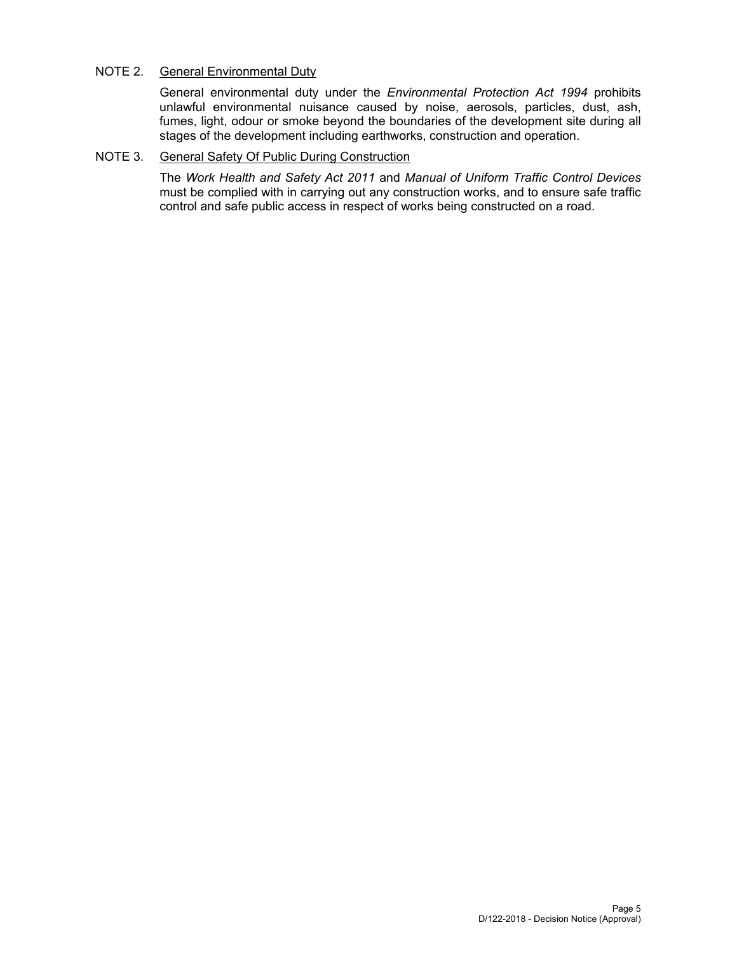# NOTE 2. General Environmental Duty

General environmental duty under the *Environmental Protection Act 1994* prohibits unlawful environmental nuisance caused by noise, aerosols, particles, dust, ash, fumes, light, odour or smoke beyond the boundaries of the development site during all stages of the development including earthworks, construction and operation.

# NOTE 3. General Safety Of Public During Construction

The *Work Health and Safety Act 2011* and *Manual of Uniform Traffic Control Devices* must be complied with in carrying out any construction works, and to ensure safe traffic control and safe public access in respect of works being constructed on a road.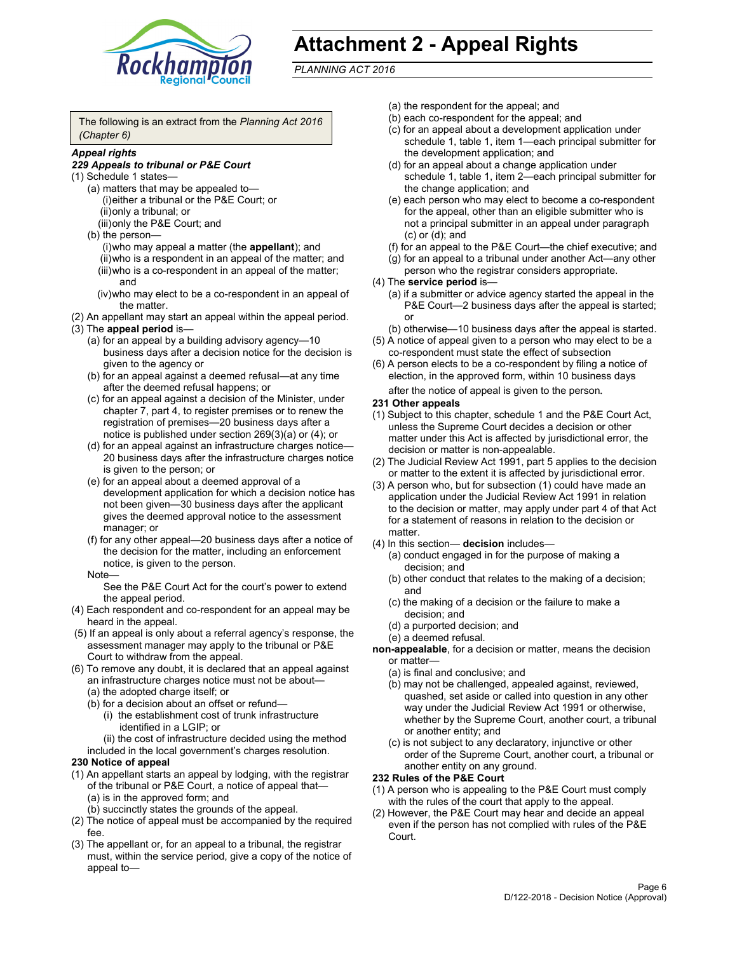

# **Attachment 2 - Appeal Rights**

*PLANNING ACT 2016*

The following is an extract from the *Planning Act 2016 (Chapter 6)*

# *Appeal rights*

### *229 Appeals to tribunal or P&E Court*

- (1) Schedule 1 states—
	- (a) matters that may be appealed to— (i) either a tribunal or the P&E Court; or (ii) only a tribunal; or (iii) only the P&E Court; and
	- (b) the person—
		- (i) who may appeal a matter (the **appellant**); and (ii) who is a respondent in an appeal of the matter; and (iii) who is a co-respondent in an appeal of the matter; and
		- (iv) who may elect to be a co-respondent in an appeal of the matter.
- (2) An appellant may start an appeal within the appeal period.
- (3) The **appeal period** is—
	- (a) for an appeal by a building advisory agency—10 business days after a decision notice for the decision is given to the agency or
	- (b) for an appeal against a deemed refusal—at any time after the deemed refusal happens; or
	- (c) for an appeal against a decision of the Minister, under chapter 7, part 4, to register premises or to renew the registration of premises—20 business days after a notice is published under section 269(3)(a) or (4); or
	- (d) for an appeal against an infrastructure charges notice— 20 business days after the infrastructure charges notice is given to the person; or
	- (e) for an appeal about a deemed approval of a development application for which a decision notice has not been given—30 business days after the applicant gives the deemed approval notice to the assessment manager; or
	- (f) for any other appeal—20 business days after a notice of the decision for the matter, including an enforcement notice, is given to the person.

#### Note—

See the P&E Court Act for the court's power to extend the appeal period.

- (4) Each respondent and co-respondent for an appeal may be heard in the appeal.
- (5) If an appeal is only about a referral agency's response, the assessment manager may apply to the tribunal or P&E Court to withdraw from the appeal.
- (6) To remove any doubt, it is declared that an appeal against an infrastructure charges notice must not be about— (a) the adopted charge itself; or
	- (b) for a decision about an offset or refund—
		- (i) the establishment cost of trunk infrastructure identified in a LGIP; or
		- (ii) the cost of infrastructure decided using the method
	- included in the local government's charges resolution.
- **230 Notice of appeal**
- (1) An appellant starts an appeal by lodging, with the registrar of the tribunal or P&E Court, a notice of appeal that— (a) is in the approved form; and
	- (b) succinctly states the grounds of the appeal.
- (2) The notice of appeal must be accompanied by the required fee.
- (3) The appellant or, for an appeal to a tribunal, the registrar must, within the service period, give a copy of the notice of appeal to—
- (a) the respondent for the appeal; and
- (b) each co-respondent for the appeal; and
- (c) for an appeal about a development application under schedule 1, table 1, item 1—each principal submitter for the development application; and
- (d) for an appeal about a change application under schedule 1, table 1, item 2—each principal submitter for the change application; and
- (e) each person who may elect to become a co-respondent for the appeal, other than an eligible submitter who is not a principal submitter in an appeal under paragraph (c) or (d); and
- (f) for an appeal to the P&E Court—the chief executive; and
- (g) for an appeal to a tribunal under another Act—any other person who the registrar considers appropriate.
- (4) The **service period** is—
	- (a) if a submitter or advice agency started the appeal in the P&E Court-2 business days after the appeal is started; or
	- (b) otherwise—10 business days after the appeal is started.
- (5) A notice of appeal given to a person who may elect to be a co-respondent must state the effect of subsection
- (6) A person elects to be a co-respondent by filing a notice of election, in the approved form, within 10 business days
	- after the notice of appeal is given to the person*.*
- **231 Other appeals**
- (1) Subject to this chapter, schedule 1 and the P&E Court Act, unless the Supreme Court decides a decision or other matter under this Act is affected by jurisdictional error, the decision or matter is non-appealable.
- (2) The Judicial Review Act 1991, part 5 applies to the decision or matter to the extent it is affected by jurisdictional error.
- (3) A person who, but for subsection (1) could have made an application under the Judicial Review Act 1991 in relation to the decision or matter, may apply under part 4 of that Act for a statement of reasons in relation to the decision or matter.
- (4) In this section— **decision** includes—
	- (a) conduct engaged in for the purpose of making a decision; and
	- (b) other conduct that relates to the making of a decision; and
	- (c) the making of a decision or the failure to make a decision; and
	- (d) a purported decision; and
	- (e) a deemed refusal.

**non-appealable**, for a decision or matter, means the decision or matter—

- (a) is final and conclusive; and
- (b) may not be challenged, appealed against, reviewed, quashed, set aside or called into question in any other way under the Judicial Review Act 1991 or otherwise, whether by the Supreme Court, another court, a tribunal or another entity; and
- (c) is not subject to any declaratory, injunctive or other order of the Supreme Court, another court, a tribunal or another entity on any ground.

#### **232 Rules of the P&E Court**

- (1) A person who is appealing to the P&E Court must comply with the rules of the court that apply to the appeal.
- (2) However, the P&E Court may hear and decide an appeal even if the person has not complied with rules of the P&E Court.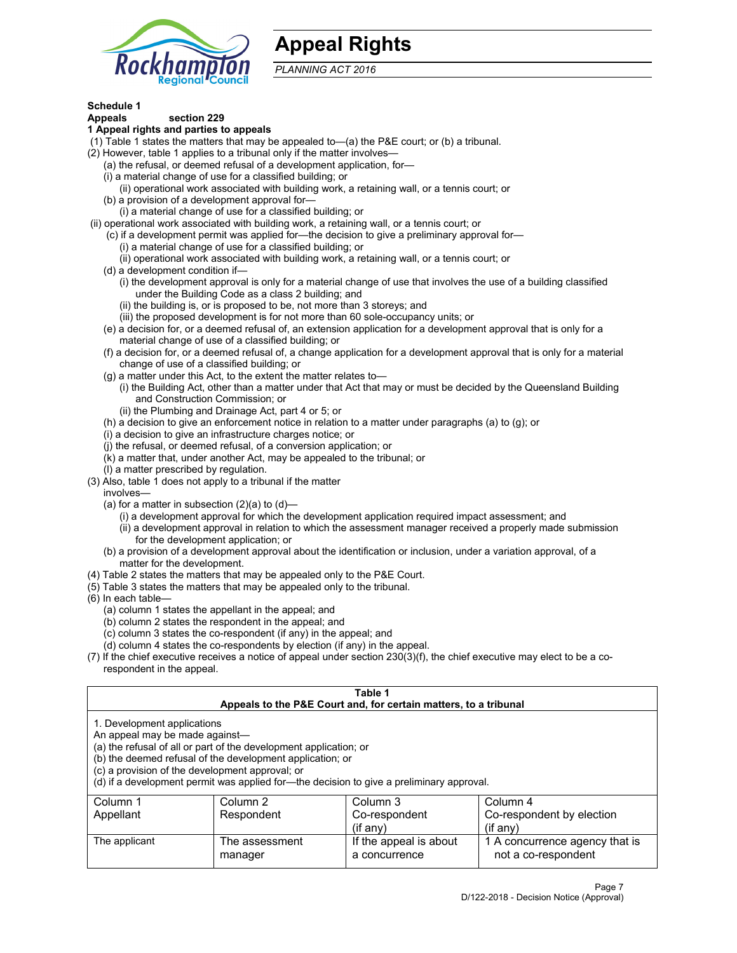

# **Appeal Rights**

*PLANNING ACT 2016*

# **Schedule 1**

# **Appeals section 229**

#### **1 Appeal rights and parties to appeals**

- (1) Table 1 states the matters that may be appealed to—(a) the P&E court; or (b) a tribunal.
- (2) However, table 1 applies to a tribunal only if the matter involves—
	- (a) the refusal, or deemed refusal of a development application, for—
	- (i) a material change of use for a classified building; or
	- (ii) operational work associated with building work, a retaining wall, or a tennis court; or
	- (b) a provision of a development approval for—
	- (i) a material change of use for a classified building; or
- (ii) operational work associated with building work, a retaining wall, or a tennis court; or
	- (c) if a development permit was applied for—the decision to give a preliminary approval for—
		- (i) a material change of use for a classified building; or
	- (ii) operational work associated with building work, a retaining wall, or a tennis court; or
	- (d) a development condition if—
		- (i) the development approval is only for a material change of use that involves the use of a building classified under the Building Code as a class 2 building; and
		- (ii) the building is, or is proposed to be, not more than 3 storeys; and
		- (iii) the proposed development is for not more than 60 sole-occupancy units; or
	- (e) a decision for, or a deemed refusal of, an extension application for a development approval that is only for a material change of use of a classified building; or
	- (f) a decision for, or a deemed refusal of, a change application for a development approval that is only for a material change of use of a classified building; or
	- (g) a matter under this Act, to the extent the matter relates to—
		- (i) the Building Act, other than a matter under that Act that may or must be decided by the Queensland Building and Construction Commission; or
		- (ii) the Plumbing and Drainage Act, part 4 or 5; or
	- (h) a decision to give an enforcement notice in relation to a matter under paragraphs (a) to (g); or
	- (i) a decision to give an infrastructure charges notice; or
	- (j) the refusal, or deemed refusal, of a conversion application; or
	- (k) a matter that, under another Act, may be appealed to the tribunal; or
	- (l) a matter prescribed by regulation.
- (3) Also, table 1 does not apply to a tribunal if the matter
	- involves—
		- (a) for a matter in subsection  $(2)(a)$  to  $(d)$ 
			- (i) a development approval for which the development application required impact assessment; and
			- (ii) a development approval in relation to which the assessment manager received a properly made submission for the development application; or
	- (b) a provision of a development approval about the identification or inclusion, under a variation approval, of a matter for the development.
- (4) Table 2 states the matters that may be appealed only to the P&E Court.
- (5) Table 3 states the matters that may be appealed only to the tribunal.
- (6) In each table—
	- (a) column 1 states the appellant in the appeal; and
	- (b) column 2 states the respondent in the appeal; and
	- (c) column 3 states the co-respondent (if any) in the appeal; and
	- (d) column 4 states the co-respondents by election (if any) in the appeal.
- (7) If the chief executive receives a notice of appeal under section 230(3)(f), the chief executive may elect to be a corespondent in the appeal.

| Table 1<br>Appeals to the P&E Court and, for certain matters, to a tribunal                                      |                                                                                                                                |                                                                                          |                                                       |  |  |
|------------------------------------------------------------------------------------------------------------------|--------------------------------------------------------------------------------------------------------------------------------|------------------------------------------------------------------------------------------|-------------------------------------------------------|--|--|
| 1. Development applications<br>An appeal may be made against-<br>(c) a provision of the development approval; or | (a) the refusal of all or part of the development application; or<br>(b) the deemed refusal of the development application; or | (d) if a development permit was applied for—the decision to give a preliminary approval. |                                                       |  |  |
| Column 1                                                                                                         | Column 3<br>Column 4<br>Column 2                                                                                               |                                                                                          |                                                       |  |  |
| Co-respondent<br>Co-respondent by election<br>Appellant<br>Respondent<br>$($ if any $)$<br>$(if$ anv)            |                                                                                                                                |                                                                                          |                                                       |  |  |
| The applicant                                                                                                    | The assessment<br>manager                                                                                                      | If the appeal is about<br>a concurrence                                                  | 1 A concurrence agency that is<br>not a co-respondent |  |  |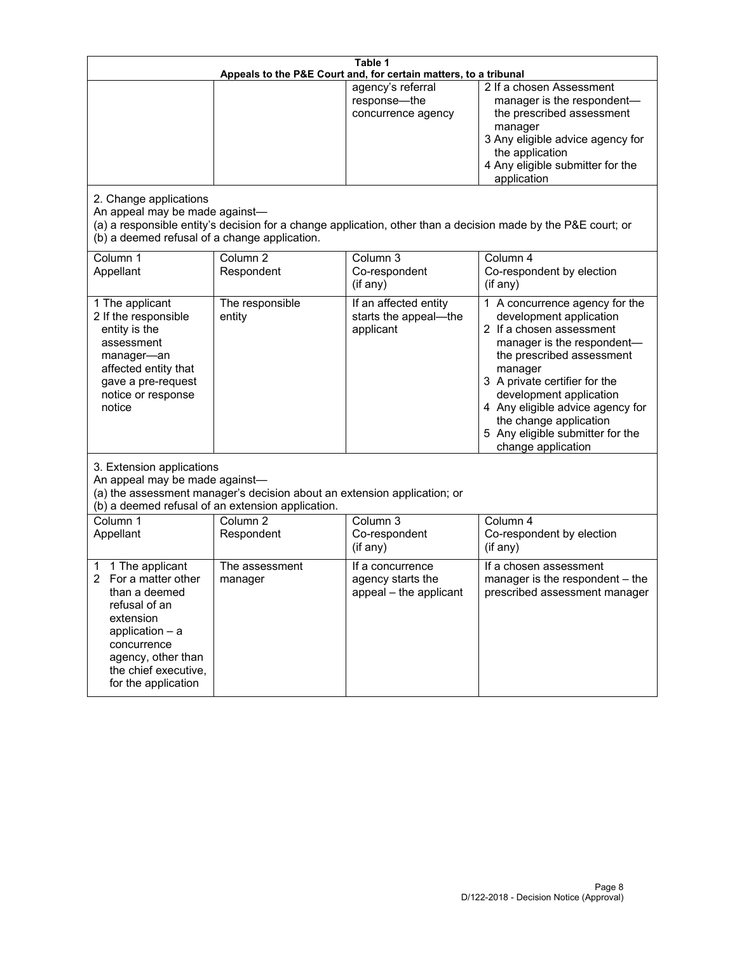| Table 1<br>Appeals to the P&E Court and, for certain matters, to a tribunal                                                                                                                        |                                                                                                                               |                                                                 |                                                                                                                                                                                                                                                                                                                                                 |
|----------------------------------------------------------------------------------------------------------------------------------------------------------------------------------------------------|-------------------------------------------------------------------------------------------------------------------------------|-----------------------------------------------------------------|-------------------------------------------------------------------------------------------------------------------------------------------------------------------------------------------------------------------------------------------------------------------------------------------------------------------------------------------------|
| 2. Change applications<br>An appeal may be made against-                                                                                                                                           |                                                                                                                               | agency's referral<br>response-the<br>concurrence agency         | 2 If a chosen Assessment<br>manager is the respondent-<br>the prescribed assessment<br>manager<br>3 Any eligible advice agency for<br>the application<br>4 Any eligible submitter for the<br>application<br>(a) a responsible entity's decision for a change application, other than a decision made by the P&E court; or                       |
| (b) a deemed refusal of a change application.<br>Column 1<br>Appellant                                                                                                                             | Column $\overline{2}$<br>Respondent                                                                                           | Column 3<br>Co-respondent<br>(if any)                           | Column 4<br>Co-respondent by election<br>(i f any)                                                                                                                                                                                                                                                                                              |
| 1 The applicant<br>2 If the responsible<br>entity is the<br>assessment<br>manager-an<br>affected entity that<br>gave a pre-request<br>notice or response<br>notice                                 | The responsible<br>entity                                                                                                     | If an affected entity<br>starts the appeal-the<br>applicant     | 1 A concurrence agency for the<br>development application<br>2 If a chosen assessment<br>manager is the respondent-<br>the prescribed assessment<br>manager<br>3 A private certifier for the<br>development application<br>4 Any eligible advice agency for<br>the change application<br>5 Any eligible submitter for the<br>change application |
| 3. Extension applications<br>An appeal may be made against-                                                                                                                                        | (a) the assessment manager's decision about an extension application; or<br>(b) a deemed refusal of an extension application. |                                                                 |                                                                                                                                                                                                                                                                                                                                                 |
| Column 1<br>Appellant                                                                                                                                                                              | Column <sub>2</sub><br>Respondent                                                                                             | Column 3<br>Co-respondent<br>(if any)                           | Column 4<br>Co-respondent by election<br>(if any)                                                                                                                                                                                                                                                                                               |
| 1 The applicant<br>1<br>For a matter other<br>than a deemed<br>refusal of an<br>extension<br>application $-$ a<br>concurrence<br>agency, other than<br>the chief executive,<br>for the application | The assessment<br>manager                                                                                                     | If a concurrence<br>agency starts the<br>appeal - the applicant | If a chosen assessment<br>manager is the respondent - the<br>prescribed assessment manager                                                                                                                                                                                                                                                      |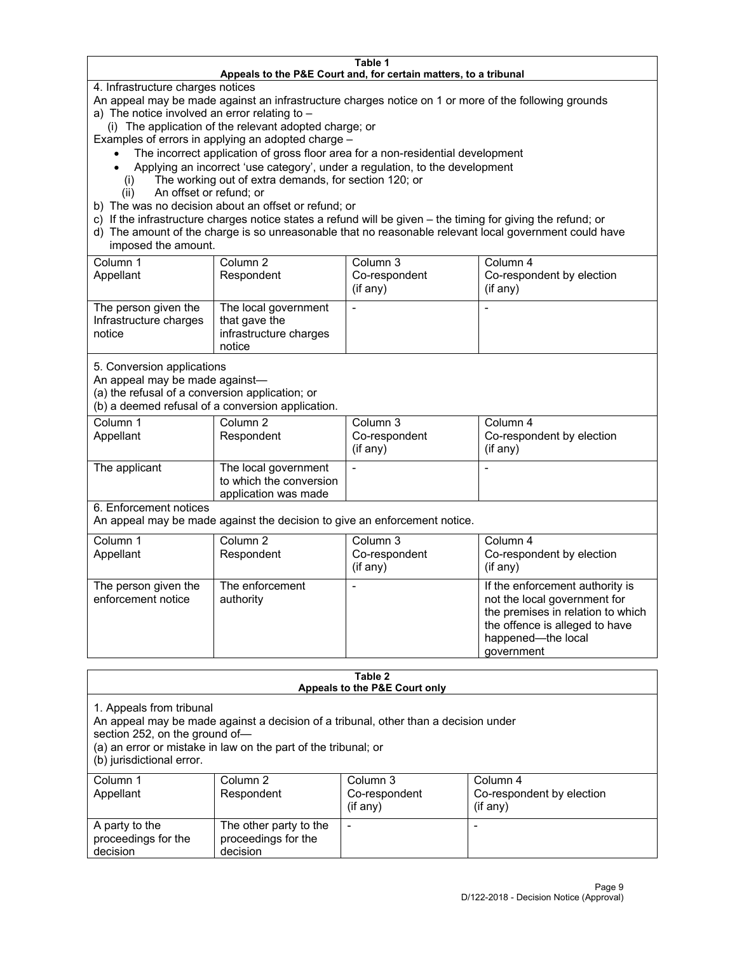#### **Table 1 Appeals to the P&E Court and, for certain matters, to a tribunal**

4. Infrastructure charges notices

An appeal may be made against an infrastructure charges notice on 1 or more of the following grounds

- a) The notice involved an error relating to
	- (i) The application of the relevant adopted charge; or

Examples of errors in applying an adopted charge –

- The incorrect application of gross floor area for a non-residential development
- Applying an incorrect 'use category', under a regulation, to the development
- (i) The working out of extra demands, for section 120; or
- (ii) An offset or refund; or
- b) The was no decision about an offset or refund; or
- c) If the infrastructure charges notice states a refund will be given the timing for giving the refund; or
- d) The amount of the charge is so unreasonable that no reasonable relevant local government could have imposed the amount.

| Column 1<br>Appellant                                    | Column 2<br>Respondent                                                    | Column 3<br>Co-respondent<br>(i f any) | Column 4<br>Co-respondent by election<br>(i f any) |
|----------------------------------------------------------|---------------------------------------------------------------------------|----------------------------------------|----------------------------------------------------|
| The person given the<br>Infrastructure charges<br>notice | The local government<br>that gave the<br>infrastructure charges<br>notice |                                        |                                                    |

5. Conversion applications

An appeal may be made against—

(a) the refusal of a conversion application; or

(b) a deemed refusal of a conversion application.

| Column 1      | Column 2                | Column 3       | Column 4                  |
|---------------|-------------------------|----------------|---------------------------|
| Appellant     | Respondent              | Co-respondent  | Co-respondent by election |
|               |                         | $($ if any $)$ | (i f any)                 |
|               |                         |                |                           |
| The applicant | The local government    |                |                           |
|               | to which the conversion |                |                           |
|               | application was made    |                |                           |

6. Enforcement notices

An appeal may be made against the decision to give an enforcement notice.

| Column 1<br>Appellant                      | Column 2<br>Respondent       | Column 3<br>Co-respondent<br>$($ if any $)$ | Column 4<br>Co-respondent by election<br>$(if$ any)                                                                                                                        |
|--------------------------------------------|------------------------------|---------------------------------------------|----------------------------------------------------------------------------------------------------------------------------------------------------------------------------|
| The person given the<br>enforcement notice | The enforcement<br>authority |                                             | If the enforcement authority is<br>not the local government for<br>the premises in relation to which<br>the offence is alleged to have<br>happened-the local<br>government |

#### **Table 2 Appeals to the P&E Court only**

1. Appeals from tribunal

An appeal may be made against a decision of a tribunal, other than a decision under

section 252, on the ground of—

(a) an error or mistake in law on the part of the tribunal; or

(b) jurisdictional error.

| Column 1<br>Appellant                             | Column 2<br>Respondent                                    | Column 3<br>Co-respondent<br>$(if$ any) | Column 4<br>Co-respondent by election<br>$(if$ any) |
|---------------------------------------------------|-----------------------------------------------------------|-----------------------------------------|-----------------------------------------------------|
| A party to the<br>proceedings for the<br>decision | The other party to the<br>proceedings for the<br>decision | $\overline{\phantom{a}}$                |                                                     |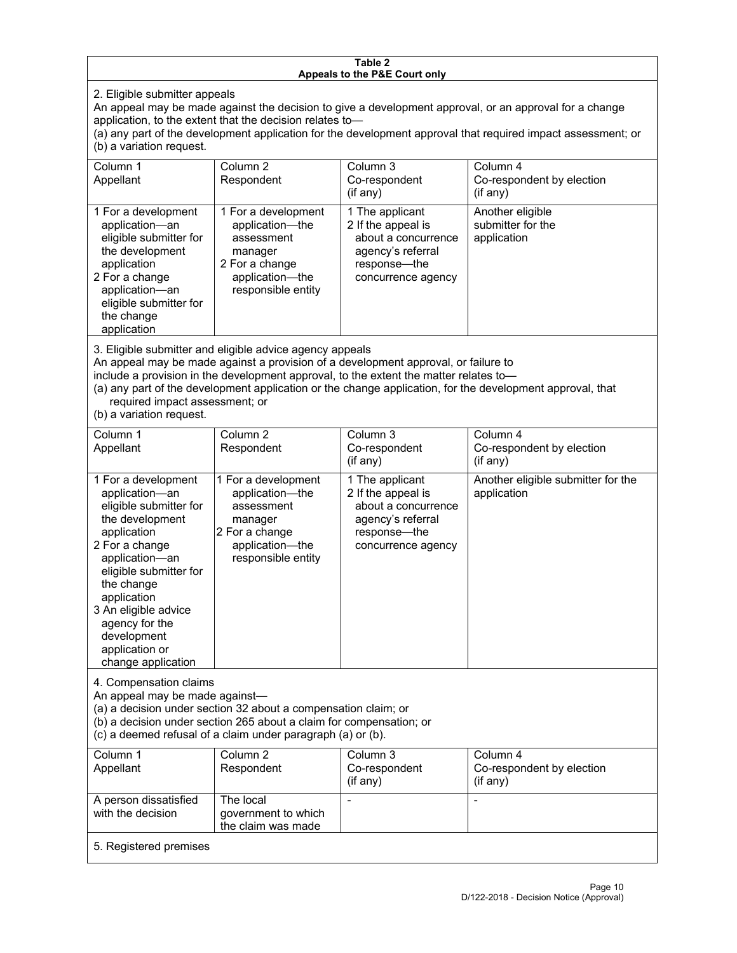#### **Table 2 Appeals to the P&E Court only**

2. Eligible submitter appeals

An appeal may be made against the decision to give a development approval, or an approval for a change application, to the extent that the decision relates to—

(a) any part of the development application for the development approval that required impact assessment; or (b) a variation request.

| Column 1<br>Appellant                                                                                                                                                                        | Column 2<br>Respondent                                                                                                     | Column 3<br>Co-respondent<br>$($ if any $)$                                                                             | Column 4<br>Co-respondent by election<br>(if any)    |
|----------------------------------------------------------------------------------------------------------------------------------------------------------------------------------------------|----------------------------------------------------------------------------------------------------------------------------|-------------------------------------------------------------------------------------------------------------------------|------------------------------------------------------|
| 1 For a development<br>application-an<br>eligible submitter for<br>the development<br>application<br>2 For a change<br>application-an<br>eligible submitter for<br>the change<br>application | 1 For a development<br>application-the<br>assessment<br>manager<br>2 For a change<br>application-the<br>responsible entity | 1 The applicant<br>2 If the appeal is<br>about a concurrence<br>agency's referral<br>response—the<br>concurrence agency | Another eligible<br>submitter for the<br>application |

3. Eligible submitter and eligible advice agency appeals

An appeal may be made against a provision of a development approval, or failure to

include a provision in the development approval, to the extent the matter relates to—

(a) any part of the development application or the change application, for the development approval, that required impact assessment; or

(b) a variation request.

| Column 1<br>Appellant                                                                                                                                                                                                                                                                         | Column <sub>2</sub><br>Respondent                                                                                          | Column <sub>3</sub><br>Co-respondent<br>(i f any)                                                                       | Column 4<br>Co-respondent by election<br>(if any) |  |
|-----------------------------------------------------------------------------------------------------------------------------------------------------------------------------------------------------------------------------------------------------------------------------------------------|----------------------------------------------------------------------------------------------------------------------------|-------------------------------------------------------------------------------------------------------------------------|---------------------------------------------------|--|
| 1 For a development<br>application-an<br>eligible submitter for<br>the development<br>application<br>2 For a change<br>application-an<br>eligible submitter for<br>the change<br>application<br>3 An eligible advice<br>agency for the<br>development<br>application or<br>change application | 1 For a development<br>application-the<br>assessment<br>manager<br>2 For a change<br>application-the<br>responsible entity | 1 The applicant<br>2 If the appeal is<br>about a concurrence<br>agency's referral<br>response-the<br>concurrence agency | Another eligible submitter for the<br>application |  |
| 4. Compensation claims<br>An appeal may be made against-<br>(a) a decision under section 32 about a compensation claim; or<br>(b) a decision under section 265 about a claim for compensation; or<br>(c) a deemed refusal of a claim under paragraph (a) or (b).                              |                                                                                                                            |                                                                                                                         |                                                   |  |
| Column 1<br>Appellant                                                                                                                                                                                                                                                                         | Column <sub>2</sub><br>Respondent                                                                                          | Column 3<br>Co-respondent<br>(if any)                                                                                   | Column 4<br>Co-respondent by election<br>(if any) |  |
| A person dissatisfied<br>with the decision                                                                                                                                                                                                                                                    | The local<br>government to which<br>the claim was made                                                                     |                                                                                                                         |                                                   |  |
| 5. Registered premises                                                                                                                                                                                                                                                                        |                                                                                                                            |                                                                                                                         |                                                   |  |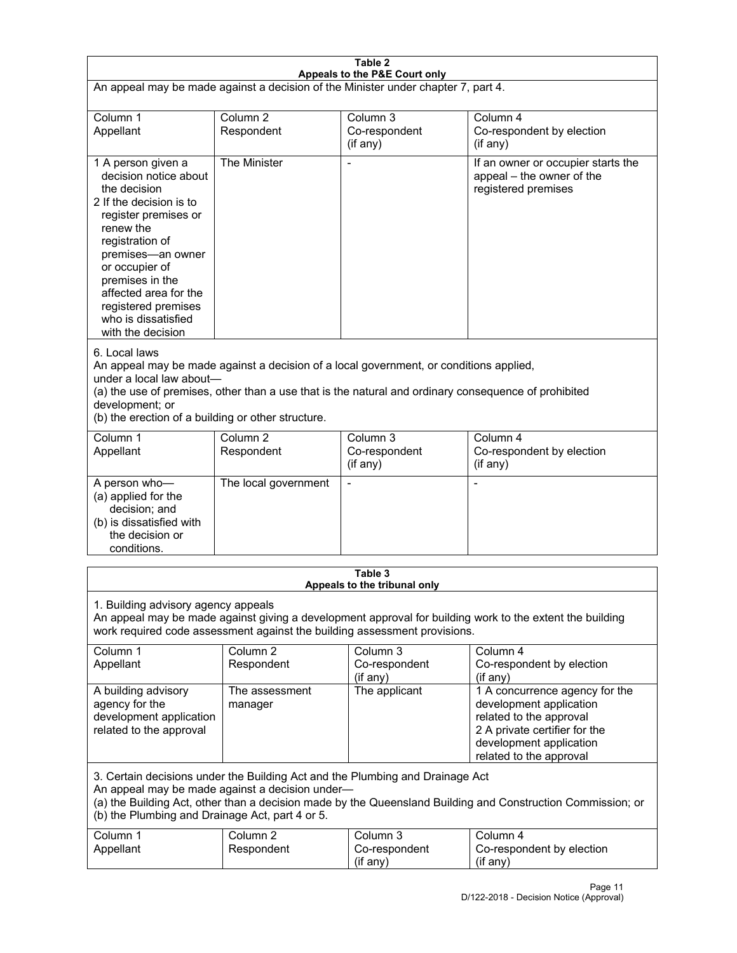| Table 2<br>Appeals to the P&E Court only                                                                                                                                                                                                                                                                             |                                   |                                                  |                                                                                                                                                                             |  |
|----------------------------------------------------------------------------------------------------------------------------------------------------------------------------------------------------------------------------------------------------------------------------------------------------------------------|-----------------------------------|--------------------------------------------------|-----------------------------------------------------------------------------------------------------------------------------------------------------------------------------|--|
| An appeal may be made against a decision of the Minister under chapter 7, part 4.                                                                                                                                                                                                                                    |                                   |                                                  |                                                                                                                                                                             |  |
| Column 1<br>Appellant                                                                                                                                                                                                                                                                                                | Column <sub>2</sub><br>Respondent | Column <sub>3</sub><br>Co-respondent<br>(if any) | Column 4<br>Co-respondent by election<br>(if any)                                                                                                                           |  |
| 1 A person given a<br>decision notice about<br>the decision<br>2 If the decision is to<br>register premises or<br>renew the<br>registration of<br>premises-an owner<br>or occupier of<br>premises in the<br>affected area for the<br>registered premises<br>who is dissatisfied<br>with the decision                 | The Minister                      | $\overline{a}$                                   | If an owner or occupier starts the<br>appeal - the owner of the<br>registered premises                                                                                      |  |
| 6. Local laws<br>An appeal may be made against a decision of a local government, or conditions applied,<br>under a local law about-<br>(a) the use of premises, other than a use that is the natural and ordinary consequence of prohibited<br>development; or<br>(b) the erection of a building or other structure. |                                   |                                                  |                                                                                                                                                                             |  |
| Column 1<br>Appellant                                                                                                                                                                                                                                                                                                | Column <sub>2</sub><br>Respondent | Column 3<br>Co-respondent<br>(if any)            | Column 4<br>Co-respondent by election<br>(if any)                                                                                                                           |  |
| A person who-<br>(a) applied for the<br>decision; and<br>(b) is dissatisfied with<br>the decision or<br>conditions.                                                                                                                                                                                                  | The local government              | L,                                               | $\overline{a}$                                                                                                                                                              |  |
|                                                                                                                                                                                                                                                                                                                      |                                   | Table 3<br>Appeals to the tribunal only          |                                                                                                                                                                             |  |
| 1. Building advisory agency appeals<br>An appeal may be made against giving a development approval for building work to the extent the building<br>work required code assessment against the building assessment provisions.                                                                                         |                                   |                                                  |                                                                                                                                                                             |  |
| Column 1<br>Appellant                                                                                                                                                                                                                                                                                                | Column <sub>2</sub><br>Respondent | Column 3<br>Co-respondent<br>(if any)            | Column 4<br>Co-respondent by election<br>(if any)                                                                                                                           |  |
| A building advisory<br>agency for the<br>development application<br>related to the approval                                                                                                                                                                                                                          | The assessment<br>manager         | The applicant                                    | 1 A concurrence agency for the<br>development application<br>related to the approval<br>2 A private certifier for the<br>development application<br>related to the approval |  |
| 3. Certain decisions under the Building Act and the Plumbing and Drainage Act<br>An appeal may be made against a decision under-<br>(a) the Building Act, other than a decision made by the Queensland Building and Construction Commission; or<br>(b) the Plumbing and Drainage Act, part 4 or 5.                   |                                   |                                                  |                                                                                                                                                                             |  |
| Column 1<br>Appellant                                                                                                                                                                                                                                                                                                | Column <sub>2</sub><br>Respondent | Column 3<br>Co-respondent<br>(if any)            | Column 4<br>Co-respondent by election<br>(if any)                                                                                                                           |  |